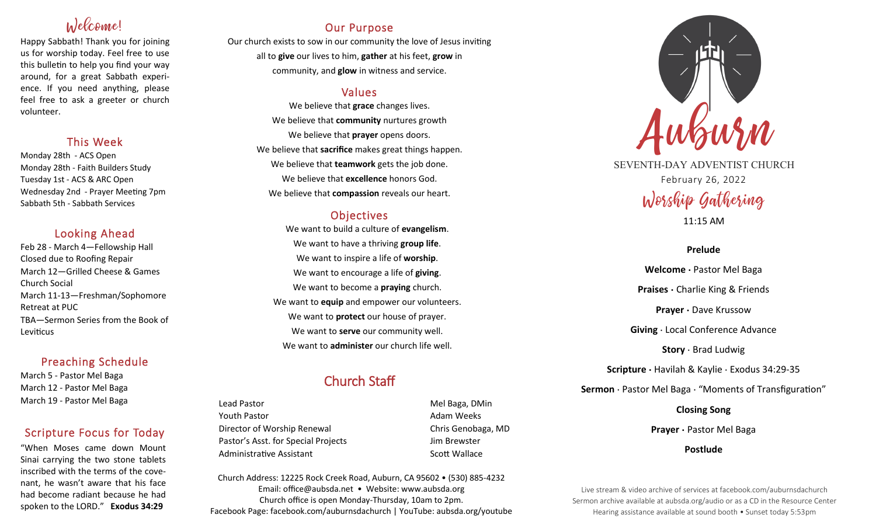# Welcome!

Happy Sabbath! Thank you for joining us for worship today. Feel free to use this bulletin to help you find your way around, for a great Sabbath experience. If you need anything, please feel free to ask a greeter or church volunteer.

### This Week

Monday 28th - ACS Open Monday 28th - Faith Builders Study Tuesday 1st - ACS & ARC Open Wednesday 2nd - Prayer Meeting 7pm Sabbath 5th - Sabbath Services

### Looking Ahead

Feb 28 - March 4—Fellowship Hall Closed due to Roofing Repair March 12—Grilled Cheese & Games Church Social March 11-13—Freshman/Sophomore Retreat at PUC TBA—Sermon Series from the Book of **Leviticus** 

### Preaching Schedule

March 5 - Pastor Mel Baga March 12 - Pastor Mel Baga March 19 - Pastor Mel Baga

## Scripture Focus for Today

"When Moses came down Mount Sinai carrying the two stone tablets inscribed with the terms of the covenant, he wasn't aware that his face had become radiant because he had spoken to the LORD." **Exodus 34:29**

### Our Purpose

Our church exists to sow in our community the love of Jesus inviting all to **give** our lives to him, **gather** at his feet, **grow** in community, and **glow** in witness and service.

### Values

We believe that **grace** changes lives. We believe that **community** nurtures growth We believe that **prayer** opens doors. We believe that **sacrifice** makes great things happen. We believe that **teamwork** gets the job done. We believe that **excellence** honors God. We believe that **compassion** reveals our heart.

### **Objectives**

We want to build a culture of **evangelism**. We want to have a thriving **group life**. We want to inspire a life of **worship**. We want to encourage a life of **giving**. We want to become a **praying** church. We want to **equip** and empower our volunteers. We want to **protect** our house of prayer. We want to **serve** our community well. We want to **administer** our church life well.

# Church Staff

Lead Pastor **Mel Baga, DMin** Youth Pastor **Adam Weeks Adam Weeks** Director of Worship Renewal Chris Genobaga, MD Pastor's Asst. for Special Projects Jim Brewster Administrative Assistant National Controllery Scott Wallace

Church Address: 12225 Rock Creek Road, Auburn, CA 95602 • (530) 885-4232 Email: office@aubsda.net • Website: www.aubsda.org Church office is open Monday-Thursday, 10am to 2pm. Facebook Page: facebook.com/auburnsdachurch | YouTube: aubsda.org/youtube



SEVENTH-DAY ADVENTIST CHURCH February 26, 2022 Worship Gathering

11:15 AM

### **Prelude**

**Welcome ·** Pastor Mel Baga **Praises ·** Charlie King & Friends **Prayer ·** Dave Krussow **Giving** · Local Conference Advance **Story** · Brad Ludwig **Scripture ·** Havilah & Kaylie · Exodus 34:29-35 **Sermon** · Pastor Mel Baga · "Moments of Transfiguration"

**Closing Song**

**Prayer ·** Pastor Mel Baga

**Postlude**

Live stream & video archive of services at facebook.com/auburnsdachurch Sermon archive available at aubsda.org/audio or as a CD in the Resource Center Hearing assistance available at sound booth • Sunset today 5:53pm